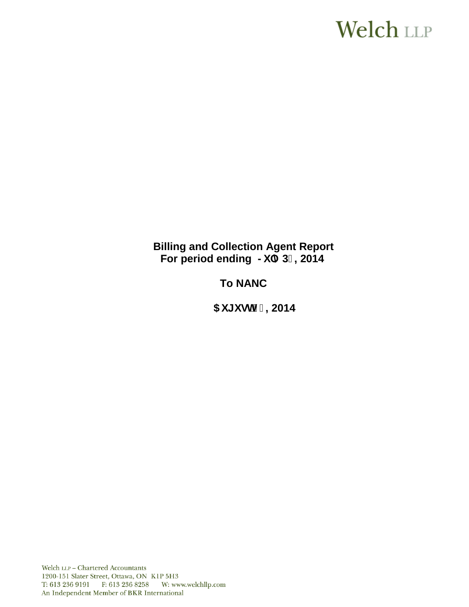# **Welch LLP**

# **Billing and Collection Agent Report** For period ending >i `m3% 2014

# **To NANC**

 $5i$  [i gh&), 2014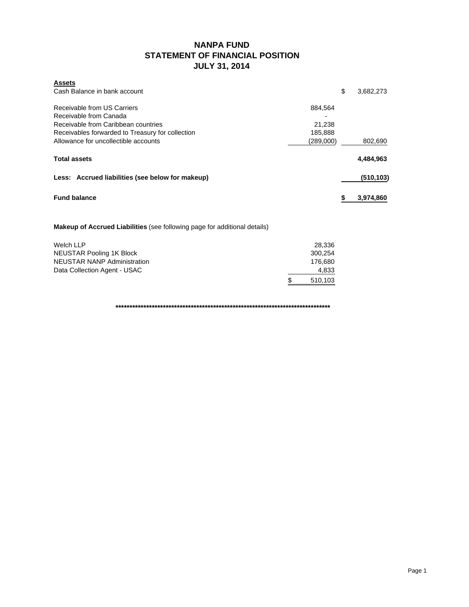### **NANPA FUND STATEMENT OF FINANCIAL POSITION JULY 31, 2014**

| <b>Assets</b>                                    |           |                 |
|--------------------------------------------------|-----------|-----------------|
| Cash Balance in bank account                     |           | \$<br>3,682,273 |
| Receivable from US Carriers                      | 884.564   |                 |
| Receivable from Canada                           |           |                 |
| Receivable from Caribbean countries              | 21,238    |                 |
| Receivables forwarded to Treasury for collection | 185,888   |                 |
| Allowance for uncollectible accounts             | (289,000) | 802,690         |
| <b>Total assets</b>                              |           | 4,484,963       |
| Less: Accrued liabilities (see below for makeup) |           | (510, 103)      |
| <b>Fund balance</b>                              |           | 3,974,860       |

**Makeup of Accrued Liabilities** (see following page for additional details)

| Welch LLP                    | 28.336        |
|------------------------------|---------------|
| NEUSTAR Pooling 1K Block     | 300.254       |
| NEUSTAR NANP Administration  | 176.680       |
| Data Collection Agent - USAC | 4,833         |
|                              | -S<br>510,103 |

**\*\*\*\*\*\*\*\*\*\*\*\*\*\*\*\*\*\*\*\*\*\*\*\*\*\*\*\*\*\*\*\*\*\*\*\*\*\*\*\*\*\*\*\*\*\*\*\*\*\*\*\*\*\*\*\*\*\*\*\*\*\*\*\*\*\*\*\*\*\*\*\*\*\*\*\*\***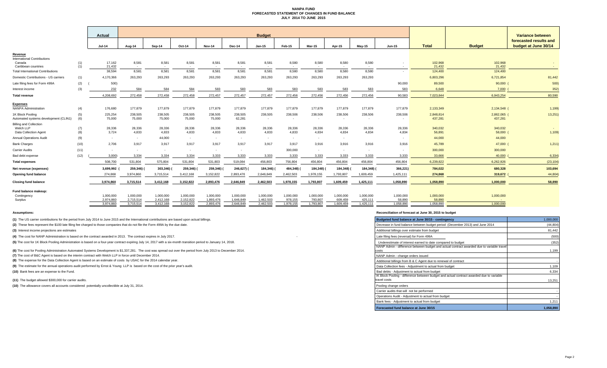#### **NANPA FUND FORECASTED STATEMENT OF CHANGES IN FUND BALANCE JULY 2014 TO JUNE 2015**

|                                                                            |            | Actual            |                   |                   |                   |                   |                   | <b>Budget</b>   |                   |                      |                   |                   |                          |                      |                        | Variance between                               |
|----------------------------------------------------------------------------|------------|-------------------|-------------------|-------------------|-------------------|-------------------|-------------------|-----------------|-------------------|----------------------|-------------------|-------------------|--------------------------|----------------------|------------------------|------------------------------------------------|
|                                                                            |            | <b>Jul-14</b>     | Aug-14            | Sep-14            | Oct-14            | <b>Nov-14</b>     | Dec-14            | $Jan-15$        | Feb-15            | <b>Mar-15</b>        | Apr-15            | $May-15$          | Jun-15                   | <b>Total</b>         | <b>Budget</b>          | forecasted results and<br>budget at June 30/14 |
| Revenue                                                                    |            |                   |                   |                   |                   |                   |                   |                 |                   |                      |                   |                   |                          |                      |                        |                                                |
| <b>International Contributions</b><br>Canada<br>Caribbean countries        | (1)<br>(1) | 17,162<br>21,432  | 8,581<br>$\sim$   | 8,581<br>$\sim$   | 8,581<br>$\sim$   | 8,581             | 8,581<br>$\sim$   | 8,581<br>$\sim$ | 8,580<br>$\sim$   | 8,580                | 8,580             | 8,580<br>$\sim$   | $\sim$                   | 102,968<br>21,432    | 102,968<br>21,432      |                                                |
| <b>Total International Contributions</b>                                   |            | 38.594            | 8,581             | 8,581             | 8,581             | 8,581             | 8.581             | 8,581           | 8,580             | 8,580                | 8.580             | 8,580             | $\sim$                   | 124,400              | 124,400                |                                                |
| Domestic Contributions - US carriers                                       | (1)        | 4,170,366         | 263.293           | 263,293           | 263,293           | 263,293           | 263,293           | 263,293         | 263,293           | 263,293              | 263,293           | 263,293           |                          | 6,803,296            | 6,721,854              | 81,442                                         |
| Late filing fees for Form 499A                                             | (2)        | 500)              |                   |                   |                   |                   |                   |                 |                   |                      |                   |                   | 90,000                   | 89,500               | 90,000 (               | 500)                                           |
| Interest income                                                            | (3)        | 232               | 584               | 584               | 584               | 583               | 583               | 583             | 583               | 583                  | 583               | 583               | 583                      | 6,648                | 7,000                  | 352)                                           |
| <b>Total revenue</b>                                                       |            | 4.208.692         | 272,458           | 272,458           | 272,458           | 272,457           | 272,457           | 272,457         | 272,456           | 272,456              | 272.456           | 272,456           | 90,583                   | 7,023,844            | 6,943,254              | 80,590                                         |
|                                                                            |            |                   |                   |                   |                   |                   |                   |                 |                   |                      |                   |                   |                          |                      |                        |                                                |
| <b>Expenses</b><br><b>NANPA Administration</b>                             | (4)        | 176,680           | 177,879           | 177,879           | 177,879           | 177,879           | 177,879           | 177,879         | 177,879           | 177,879              | 177,879           | 177,879           | 177,879                  | 2,133,349            | 2,134,548 (            | 1,199)                                         |
| 1K Block Pooling<br>Automated systems development (CLIN1)                  | (5)<br>(6) | 225,254<br>75,000 | 238,505<br>75,000 | 238,505<br>75,000 | 238,505<br>75,000 | 238,505<br>75,000 | 238,505<br>62,281 | 238,505         | 238,506<br>$\sim$ | 238,506              | 238,506<br>$\sim$ | 238,506<br>$\sim$ | 238,506                  | 2,848,814<br>437,281 | 2,862,065 (<br>437,281 | 13,251                                         |
| <b>Billing and Collection</b><br>Welch LLP<br><b>Data Collection Agent</b> | (7)<br>(8) | 28,336<br>3,724   | 28,336<br>4,833   | 28,336<br>4,833   | 28,336<br>4,833   | 28,336<br>4,833   | 28,336<br>4,833   | 28,336<br>4,833 | 28,336<br>4,833   | 28,336<br>4,834      | 28,336<br>4,834   | 28,336<br>4,834   | 28,336<br>4,834          | 340,032<br>56,891    | 340,032<br>58,000 (    | 1,109                                          |
| <b>Annual Operations Audit</b>                                             | (9)        | $\sim$            | $\sim$            | 44,000            | $\sim$            | $\sim$            | $\sim$            | $\sim$          | $\sim$            | $\sim$               | $\sim$            |                   | $\sim$                   | 44,000               | 44,000                 |                                                |
| <b>Bank Charges</b>                                                        | (10)       | 2,706             | 3,917             | 3,917             | 3,917             | 3,917             | 3.917             | 3,917           | 3,917             | 3,916                | 3,916             | 3,916             | 3,916                    | 45,789               | 47,000 (               | 1,211)                                         |
| <b>Carrier Audits</b>                                                      | (11)       | $\sim$            | ٠                 | $\sim$            | $\sim$            |                   | $\sim$            |                 | 300,000           | $\sim$               | <b>COL</b>        | $\sim$            | $\overline{\phantom{a}}$ | 300,000              | 300,000                |                                                |
| Bad debt expense                                                           | (12)       | 3,000)            | 3,334             | 3,334             | 3,334             | 3,333             | 3,333             | 3,333           | 3,333             | 3,333                | 3,333             | 3,333             | 3,333                    | 33,666               | 40,000                 | 6,334                                          |
| <b>Total expenses</b>                                                      |            | 508.700           | 531.804           | 575.804           | 531.804           | 531.803           | 519.084           | 456.803         | 756.804           | 456.804              | 456.804           | 456.804           | 456.804                  | 6.239.822            | 6.262.926              | (23, 104)                                      |
| Net revenue (expenses)                                                     |            | 3,699,992         | 259,346)          | 303,346)          | 259,346)          | 259,346) (        | 246,627)          | 184,346) (      | 484,348)          | 184,348) (           | 184,348)          | 184,348) (        | 366,221)                 | 784,022              | 680,328                | 103,694                                        |
| Opening fund balance                                                       |            | 274,868           | 3,974,860         | 3,715,514         | 3,412,168         | 3,152,822         | 2,893,476         | 2,646,849       | 2,462,503         | 1,978,155            | 1,793,807         | 1,609,459         | 1.425.111                | 274,868              | 319,672                | 44,804                                         |
| <b>Closing fund balance</b>                                                |            | 3,974,860         | 3,715,514         | 3,412,168         | 3,152,822         | 2,893,476         | 2,646,849         | 2,462,503       | 1,978,155         | 1,793,807            | 1,609,459         | 1,425,111         | 1,058,890                | 1,058,890            | 1,000,000              | 58,890                                         |
| Fund balance makeup:                                                       |            | 1,000,000         | 1,000,000         | 1,000,000         | 1,000,000         | 1,000,000         | 1,000,000         | 1,000,000       | 1,000,000         |                      | 1,000,000         | 1,000,000         |                          | 1,000,000            |                        |                                                |
| Contingency<br>Surplus                                                     |            | 2,974,860         | 2,715,514         | 2,412,168         | 2,152,822         | 1,893,476         | 1,646,849         | 1,462,503       | 978,155           | 1,000,000<br>793,807 | 609,459           | 425,111           | 1,000,000<br>58,890      | 58,890               | 1,000,000              |                                                |
|                                                                            |            | 3,974,860         | 3,715,514         | 3,412,168         | 3,152,822         | 2,893,476         | 2,646,849         | 2,462,503       | 1,978,155         | 1,793,807            | 1,609,459         | 1,425,111         | 1.058.890                | 1.058.890            | 1,000,000              |                                                |

**(1)** The US carrier contributions for the period from July 2014 to June 2015 and the International contributions are based upon actual billings.

(2) These fees represent the \$100 late filing fee charged to those companies that do not file the Form 499A by the due date.

**(3)** Interest income projections are estimates

**(4)** The cost for NANP Administration is based on the contract awarded in 2013. The contract expires in July 2017.

(5) The cost for 1K Block Pooling Administration is based on a four-year contract expiring July 14, 2017 with a six-month transition period to January 14, 2018.

**(6)** The cost for Pooling Administration Automated Systems Development is \$1,337,281. The cost was spread out over the period from July 2013 to December 2014.

**(7)** The cost of B&C Agent is based on the interim contract with Welch LLP in force until December 2014.

**(8)** The expense for the Data Collection Agent is based on an estimate of costs by USAC for the 2014 calendar year.

(9) The estimate for the annual operations audit performed by Ernst & Young LLP is based on the cost of the prior year's audit.

**(10)** Bank fees are an expense to the Fund.

(11) The budget allowed \$300,000 for carrier audits.

(10) The allowance covers all accounts considered potentially uncollectible at July 31, 2014.

#### **Assumptions: Reconciliation of forecast at June 30, 2015 to budget**

| Budgeted fund balance at June 30/15 - contingency                                                        | 1,000,000 |
|----------------------------------------------------------------------------------------------------------|-----------|
| Decrease in fund balance between budget period (December 2013) and June 2014                             | (44, 804) |
| Additional billings over estimate from budget                                                            | 81,442    |
| Late filing fees (reversal) for Form 499A                                                                | (500)     |
| Underestimate of interest earned to date compared to budget                                              | (352)     |
| NANP Admin - difference between budget and actual contract awarded due to variable travel<br>costs       | 1,199     |
| NANP Admin - change orders issued                                                                        |           |
| Additional billings from B & C Agent due to renewal of contract                                          |           |
| Data Collection fees - Adjustment to actual from budget                                                  | 1,109     |
| Bad debts - Adjustment to actual from budget                                                             | 6,334     |
| IK Block Pooling - difference between budget and actual contract awarded due to variable<br>travel costs | 13,251    |
| Pooling change orders                                                                                    |           |
| Carrier audits that will not be performed                                                                |           |
| Operations Audit - Adjustment to actual from budget                                                      |           |
| Bank fees - Adjustment to actual from budget                                                             | 1,211     |
| Forecasted fund balance at June 30/15                                                                    | 1.058.890 |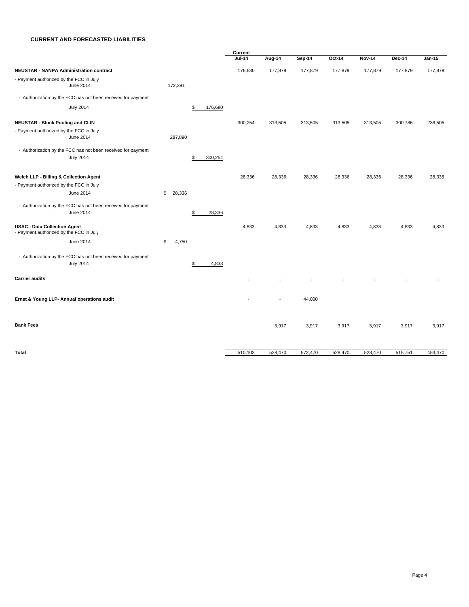#### **CURRENT AND FORECASTED LIABILITIES**

|                                                                                  |              | Current |                          |         |         |               |         |         |
|----------------------------------------------------------------------------------|--------------|---------|--------------------------|---------|---------|---------------|---------|---------|
|                                                                                  |              | Jul-14  | Aug-14                   | Sep-14  | Oct-14  | <b>Nov-14</b> | Dec-14  | Jan-15  |
| <b>NEUSTAR - NANPA Administration contract</b>                                   |              | 176,680 | 177,879                  | 177,879 | 177,879 | 177,879       | 177,879 | 177,879 |
| - Payment authorized by the FCC in July<br>June 2014                             | 172,391      |         |                          |         |         |               |         |         |
| - Authorization by the FCC has not been received for payment                     |              |         |                          |         |         |               |         |         |
| <b>July 2014</b>                                                                 | \$.          | 176,680 |                          |         |         |               |         |         |
| <b>NEUSTAR - Block Pooling and CLIN</b>                                          |              | 300,254 | 313,505                  | 313,505 | 313,505 | 313,505       | 300,786 | 238,505 |
| - Payment authorized by the FCC in July<br>June 2014                             | 287,890      |         |                          |         |         |               |         |         |
| - Authorization by the FCC has not been received for payment                     |              |         |                          |         |         |               |         |         |
| <b>July 2014</b>                                                                 | \$           | 300,254 |                          |         |         |               |         |         |
| Welch LLP - Billing & Collection Agent                                           |              | 28,336  | 28,336                   | 28,336  | 28,336  | 28,336        | 28,336  | 28,336  |
| - Payment authorized by the FCC in July                                          |              |         |                          |         |         |               |         |         |
| June 2014                                                                        | \$<br>28,336 |         |                          |         |         |               |         |         |
| - Authorization by the FCC has not been received for payment                     |              |         |                          |         |         |               |         |         |
| June 2014                                                                        | \$           | 28,336  |                          |         |         |               |         |         |
| <b>USAC - Data Collection Agent</b><br>- Payment authorized by the FCC in July   |              | 4,833   | 4,833                    | 4,833   | 4,833   | 4,833         | 4,833   | 4,833   |
| June 2014                                                                        | \$<br>4,750  |         |                          |         |         |               |         |         |
| - Authorization by the FCC has not been received for payment<br><b>July 2014</b> | S            | 4,833   |                          |         |         |               |         |         |
|                                                                                  |              |         |                          |         |         |               |         |         |
| <b>Carrier audits</b>                                                            |              |         |                          |         |         |               |         |         |
| Ernst & Young LLP- Annual operations audit                                       |              |         | $\overline{\phantom{a}}$ | 44,000  |         |               |         |         |
| <b>Bank Fees</b>                                                                 |              |         | 3,917                    | 3,917   | 3,917   | 3,917         | 3,917   | 3,917   |
| <b>Total</b>                                                                     |              | 510,103 | 528,470                  | 572,470 | 528,470 | 528,470       | 515,751 | 453,470 |
|                                                                                  |              |         |                          |         |         |               |         |         |